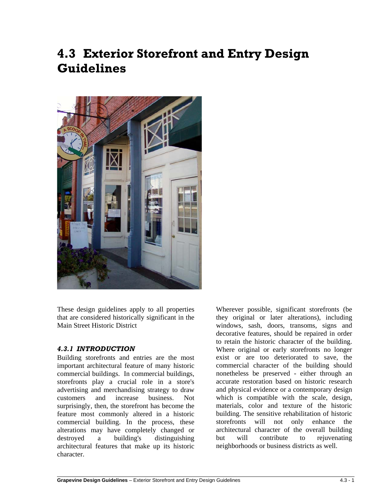# **4.3 Exterior Storefront and Entry Design Guidelines**



These design guidelines apply to all properties that are considered historically significant in the Main Street Historic District

## *4.3.1 INTRODUCTION*

 $\overline{a}$ 

Building storefronts and entries are the most important architectural feature of many historic commercial buildings. In commercial buildings, storefronts play a crucial role in a store's advertising and merchandising strategy to draw<br>customers and increase business. Not customers and increase business. Not surprisingly, then, the storefront has become the feature most commonly altered in a historic commercial building. In the process, these alterations may have completely changed or destroyed a building's distinguishing architectural features that make up its historic character.

Wherever possible, significant storefronts (be they original or later alterations), including windows, sash, doors, transoms, signs and decorative features, should be repaired in order to retain the historic character of the building. Where original or early storefronts no longer exist or are too deteriorated to save, the commercial character of the building should nonetheless be preserved - either through an accurate restoration based on historic research and physical evidence or a contemporary design which is compatible with the scale, design, materials, color and texture of the historic building. The sensitive rehabilitation of historic storefronts will not only enhance the architectural character of the overall building but will contribute to rejuvenating neighborhoods or business districts as well.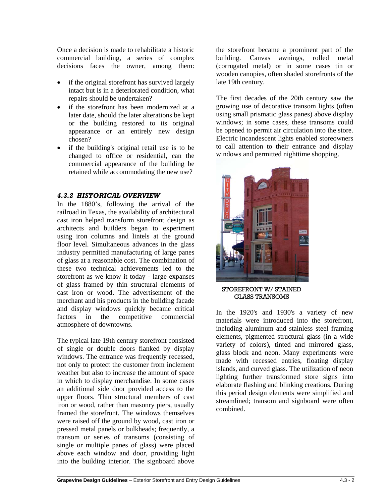Once a decision is made to rehabilitate a historic commercial building, a series of complex decisions faces the owner, among them:

- if the original storefront has survived largely intact but is in a deteriorated condition, what repairs should be undertaken?
- if the storefront has been modernized at a later date, should the later alterations be kept or the building restored to its original appearance or an entirely new design chosen?
- if the building's original retail use is to be changed to office or residential, can the commercial appearance of the building be retained while accommodating the new use?

### *4.3.2 HISTORICAL OVERVIEW*

In the 1880's, following the arrival of the railroad in Texas, the availability of architectural cast iron helped transform storefront design as architects and builders began to experiment using iron columns and lintels at the ground floor level. Simultaneous advances in the glass industry permitted manufacturing of large panes of glass at a reasonable cost. The combination of these two technical achievements led to the storefront as we know it today - large expanses of glass framed by thin structural elements of cast iron or wood. The advertisement of the merchant and his products in the building facade and display windows quickly became critical factors in the competitive commercial atmosphere of downtowns.

The typical late 19th century storefront consisted of single or double doors flanked by display windows. The entrance was frequently recessed, not only to protect the customer from inclement weather but also to increase the amount of space in which to display merchandise. In some cases an additional side door provided access to the upper floors. Thin structural members of cast iron or wood, rather than masonry piers, usually framed the storefront. The windows themselves were raised off the ground by wood, cast iron or pressed metal panels or bulkheads; frequently, a transom or series of transoms (consisting of single or multiple panes of glass) were placed above each window and door, providing light into the building interior. The signboard above

the storefront became a prominent part of the building. Canvas awnings, rolled metal (corrugated metal) or in some cases tin or wooden canopies, often shaded storefronts of the late 19th century.

The first decades of the 20th century saw the growing use of decorative transom lights (often using small prismatic glass panes) above display windows; in some cases, these transoms could be opened to permit air circulation into the store. Electric incandescent lights enabled storeowners to call attention to their entrance and display windows and permitted nighttime shopping.



STOREFRONT W/ STAINED GLASS TRANSOMS

In the 1920's and 1930's a variety of new materials were introduced into the storefront, including aluminum and stainless steel framing elements, pigmented structural glass (in a wide variety of colors), tinted and mirrored glass, glass block and neon. Many experiments were made with recessed entries, floating display islands, and curved glass. The utilization of neon lighting further transformed store signs into elaborate flashing and blinking creations. During this period design elements were simplified and streamlined; transom and signboard were often combined.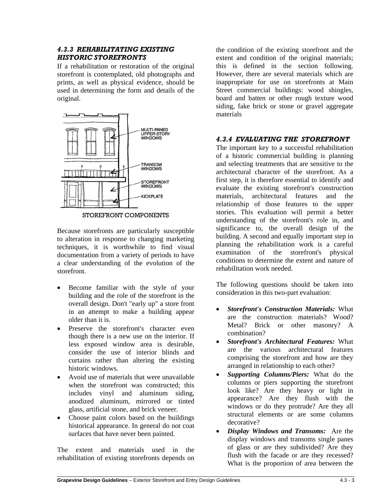### *4.3.3 REHABILITATING EXISTING HISTORIC STOREFRONTS*

If a rehabilitation or restoration of the original storefront is contemplated, old photographs and prints, as well as physical evidence, should be used in determining the form and details of the original.



STOREFRONT COMPONENTS

Because storefronts are particularly susceptible to alteration in response to changing marketing techniques, it is worthwhile to find visual documentation from a variety of periods to have a clear understanding of the evolution of the storefront.

- Become familiar with the style of your building and the role of the storefront in the overall design. Don't "early up" a store front in an attempt to make a building appear older than it is.
- Preserve the storefront's character even though there is a new use on the interior. If less exposed window area is desirable, consider the use of interior blinds and curtains rather than altering the existing historic windows.
- Avoid use of materials that were unavailable when the storefront was constructed; this includes vinyl and aluminum siding, anodized aluminum, mirrored or tinted glass, artificial stone, and brick veneer.
- Choose paint colors based on the buildings historical appearance. In general do not coat surfaces that have never been painted.

The extent and materials used in the rehabilitation of existing storefronts depends on the condition of the existing storefront and the extent and condition of the original materials; this is defined in the section following. However, there are several materials which are inappropriate for use on storefronts at Main Street commercial buildings: wood shingles, board and batten or other rough texture wood siding, fake brick or stone or gravel aggregate materials

## *4.3.4 EVALUATING THE STOREFRONT*

The important key to a successful rehabilitation of a historic commercial building is planning and selecting treatments that are sensitive to the architectural character of the storefront. As a first step, it is therefore essential to identify and evaluate the existing storefront's construction materials, architectural features and the relationship of those features to the upper stories. This evaluation will permit a better understanding of the storefront's role in, and significance to, the overall design of the building. A second and equally important step in planning the rehabilitation work is a careful examination of the storefront's physical conditions to determine the extent and nature of rehabilitation work needed.

The following questions should be taken into consideration in this two-part evaluation:

- *Storefront's Construction Materials:* What are the construction materials? Wood? Metal? Brick or other masonry? A combination?
- *Storefront's Architectural Features:* What are the various architectural features comprising the storefront and how are they arranged in relationship to each other?
- *Supporting Columns/Piers:* What do the columns or piers supporting the storefront look like? Are they heavy or light in appearance? Are they flush with the windows or do they protrude? Are they all structural elements or are some columns decorative?
- *Display Windows and Transoms:* Are the display windows and transoms single panes of glass or are they subdivided? Are they flush with the facade or are they recessed? What is the proportion of area between the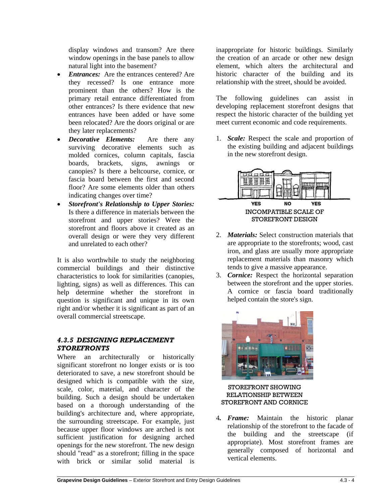display windows and transom? Are there window openings in the base panels to allow natural light into the basement?

- *Entrances:* Are the entrances centered? Are they recessed? Is one entrance more prominent than the others? How is the primary retail entrance differentiated from other entrances? Is there evidence that new entrances have been added or have some been relocated? Are the doors original or are they later replacements?
- *Decorative Elements:* Are there any surviving decorative elements such as molded cornices, column capitals, fascia boards, brackets, signs, awnings or canopies? Is there a beltcourse, cornice, or fascia board between the first and second floor? Are some elements older than others indicating changes over time?
- *Storefront's Relationship to Upper Stories:* Is there a difference in materials between the storefront and upper stories? Were the storefront and floors above it created as an overall design or were they very different and unrelated to each other?

It is also worthwhile to study the neighboring commercial buildings and their distinctive characteristics to look for similarities (canopies, lighting, signs) as well as differences. This can help determine whether the storefront in question is significant and unique in its own right and/or whether it is significant as part of an overall commercial streetscape.

### *4.3.5 DESIGNING REPLACEMENT STOREFRONTS*

Where an architecturally or historically significant storefront no longer exists or is too deteriorated to save, a new storefront should be designed which is compatible with the size, scale, color, material, and character of the building. Such a design should be undertaken based on a thorough understanding of the building's architecture and, where appropriate, the surrounding streetscape. For example, just because upper floor windows are arched is not sufficient justification for designing arched openings for the new storefront. The new design should "read" as a storefront; filling in the space with brick or similar solid material is

inappropriate for historic buildings. Similarly the creation of an arcade or other new design element, which alters the architectural and historic character of the building and its relationship with the street, should be avoided.

The following guidelines can assist in developing replacement storefront designs that respect the historic character of the building yet meet current economic and code requirements.

1. *Scale:* Respect the scale and proportion of the existing building and adjacent buildings in the new storefront design.



- 2. *Materials:* Select construction materials that are appropriate to the storefronts; wood, cast iron, and glass are usually more appropriate replacement materials than masonry which tends to give a massive appearance.
- 3. *Cornice:* Respect the horizontal separation between the storefront and the upper stories. A cornice or fascia board traditionally helped contain the store's sign.



STOREFRONT SHOWING RELATIONSHIP BETWEEN STOREFRONT AND CORNICE

4*. Frame:* Maintain the historic planar relationship of the storefront to the facade of the building and the streetscape (if appropriate). Most storefront frames are generally composed of horizontal and vertical elements.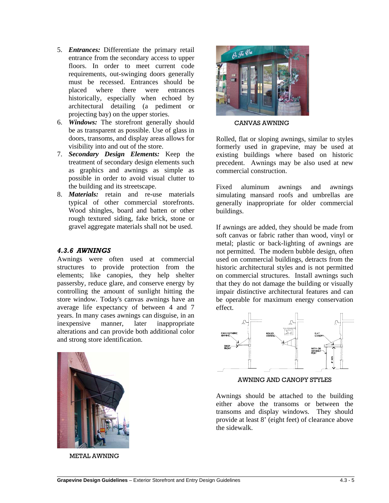- 5. *Entrances:* Differentiate the primary retail entrance from the secondary access to upper floors. In order to meet current code requirements, out-swinging doors generally must be recessed. Entrances should be placed where there were entrances historically, especially when echoed by architectural detailing (a pediment or projecting bay) on the upper stories.
- 6. *Windows:* The storefront generally should be as transparent as possible. Use of glass in doors, transoms, and display areas allows for visibility into and out of the store.
- 7. *Secondary Design Elements:* Keep the treatment of secondary design elements such as graphics and awnings as simple as possible in order to avoid visual clutter to the building and its streetscape.
- 8. *Materials:* retain and re-use materials typical of other commercial storefronts. Wood shingles, board and batten or other rough textured siding, fake brick, stone or gravel aggregate materials shall not be used.

#### *4.3.6 AWNINGS*

Awnings were often used at commercial structures to provide protection from the elements; like canopies, they help shelter passersby, reduce glare, and conserve energy by controlling the amount of sunlight hitting the store window. Today's canvas awnings have an average life expectancy of between 4 and 7 years. In many cases awnings can disguise, in an inexpensive manner, later inappropriate alterations and can provide both additional color and strong store identification.



METAL AWNING

 $\overline{a}$ 



CANVAS AWNING

Rolled, flat or sloping awnings, similar to styles formerly used in grapevine, may be used at existing buildings where based on historic precedent. Awnings may be also used at new commercial construction.

Fixed aluminum awnings and awnings simulating mansard roofs and umbrellas are generally inappropriate for older commercial buildings.

If awnings are added, they should be made from soft canvas or fabric rather than wood, vinyl or metal; plastic or back-lighting of awnings are not permitted. The modern bubble design, often used on commercial buildings, detracts from the historic architectural styles and is not permitted on commercial structures. Install awnings such that they do not damage the building or visually impair distinctive architectural features and can be operable for maximum energy conservation effect.



AWNING AND CANOPY STYLES

Awnings should be attached to the building either above the transoms or between the transoms and display windows. They should provide at least 8' (eight feet) of clearance above the sidewalk.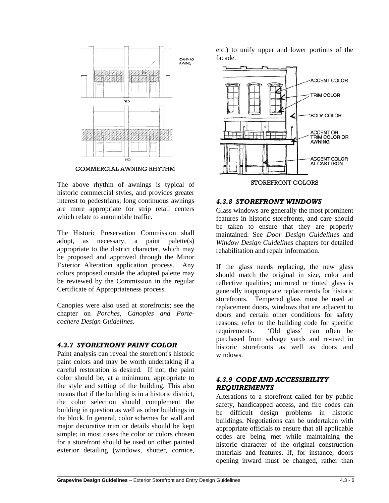

COMMERCIAL AWNING RHYTHM

The above rhythm of awnings is typical of historic commercial styles, and provides greater interest to pedestrians; long continuous awnings are more appropriate for strip retail centers which relate to automobile traffic.

The Historic Preservation Commission shall adopt, as necessary, a paint palette(s) appropriate to the district character, which may be proposed and approved through the Minor Exterior Alteration application process. Any colors proposed outside the adopted palette may be reviewed by the Commission in the regular Certificate of Appropriateness process.

Canopies were also used at storefronts; see the chapter on *Porches, Canopies and Portecochere Design Guidelines.*

#### *4.3.7 STOREFRONT PAINT COLOR*

Paint analysis can reveal the storefront's historic paint colors and may be worth undertaking if a careful restoration is desired. If not, the paint color should be, at a minimum, appropriate to the style and setting of the building. This also means that if the building is in a historic district, the color selection should complement the building in question as well as other buildings in the block. In general, color schemes for wall and major decorative trim or details should be kept simple; in most cases the color or colors chosen for a storefront should be used on other painted exterior detailing (windows, shutter, cornice,

 $\overline{a}$ 

etc.) to unify upper and lower portions of the facade.



#### *4.3.8 STOREFRONT WINDOWS*

Glass windows are generally the most prominent features in historic storefronts, and care should be taken to ensure that they are properly maintained. See *Door Design Guidelines* and *Window Design Guidelines* chapters for detailed rehabilitation and repair information.

If the glass needs replacing, the new glass should match the original in size, color and reflective qualities; mirrored or tinted glass is generally inappropriate replacements for historic storefronts. Tempered glass must be used at replacement doors, windows that are adjacent to doors and certain other conditions for safety reasons; refer to the building code for specific requirements. 'Old glass' can often be purchased from salvage yards and re-used in historic storefronts as well as doors and windows.

## *4.3.9 CODE AND ACCESSIBILITY REQUIREMENTS*

Alterations to a storefront called for by public safety, handicapped access, and fire codes can be difficult design problems in historic buildings. Negotiations can be undertaken with appropriate officials to ensure that all applicable codes are being met while maintaining the historic character of the original construction materials and features. If, for instance, doors opening inward must be changed, rather than